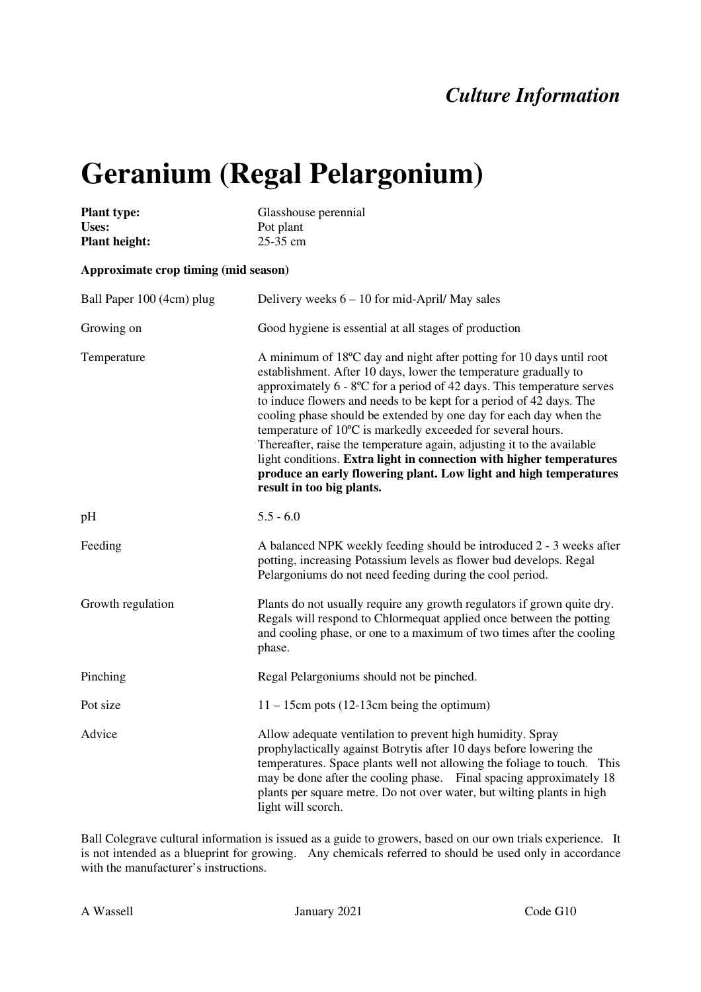## *Culture Information*

## **Geranium (Regal Pelargonium)**

| <b>Plant type:</b><br>Uses:<br><b>Plant height:</b> | Glasshouse perennial<br>Pot plant<br>25-35 cm                                                                                                                                                                                                                                                                                                                                                                                                                                                                                                                                                                                                                                                     |
|-----------------------------------------------------|---------------------------------------------------------------------------------------------------------------------------------------------------------------------------------------------------------------------------------------------------------------------------------------------------------------------------------------------------------------------------------------------------------------------------------------------------------------------------------------------------------------------------------------------------------------------------------------------------------------------------------------------------------------------------------------------------|
| Approximate crop timing (mid season)                |                                                                                                                                                                                                                                                                                                                                                                                                                                                                                                                                                                                                                                                                                                   |
| Ball Paper 100 (4cm) plug                           | Delivery weeks $6 - 10$ for mid-April/ May sales                                                                                                                                                                                                                                                                                                                                                                                                                                                                                                                                                                                                                                                  |
| Growing on                                          | Good hygiene is essential at all stages of production                                                                                                                                                                                                                                                                                                                                                                                                                                                                                                                                                                                                                                             |
| Temperature                                         | A minimum of 18°C day and night after potting for 10 days until root<br>establishment. After 10 days, lower the temperature gradually to<br>approximately $6 - 8^{\circ}\text{C}$ for a period of 42 days. This temperature serves<br>to induce flowers and needs to be kept for a period of 42 days. The<br>cooling phase should be extended by one day for each day when the<br>temperature of 10°C is markedly exceeded for several hours.<br>Thereafter, raise the temperature again, adjusting it to the available<br>light conditions. Extra light in connection with higher temperatures<br>produce an early flowering plant. Low light and high temperatures<br>result in too big plants. |
| pH                                                  | $5.5 - 6.0$                                                                                                                                                                                                                                                                                                                                                                                                                                                                                                                                                                                                                                                                                       |
| Feeding                                             | A balanced NPK weekly feeding should be introduced 2 - 3 weeks after<br>potting, increasing Potassium levels as flower bud develops. Regal<br>Pelargoniums do not need feeding during the cool period.                                                                                                                                                                                                                                                                                                                                                                                                                                                                                            |
| Growth regulation                                   | Plants do not usually require any growth regulators if grown quite dry.<br>Regals will respond to Chlormequat applied once between the potting<br>and cooling phase, or one to a maximum of two times after the cooling<br>phase.                                                                                                                                                                                                                                                                                                                                                                                                                                                                 |
| Pinching                                            | Regal Pelargoniums should not be pinched.                                                                                                                                                                                                                                                                                                                                                                                                                                                                                                                                                                                                                                                         |
| Pot size                                            | $11 - 15$ cm pots (12-13cm being the optimum)                                                                                                                                                                                                                                                                                                                                                                                                                                                                                                                                                                                                                                                     |
| Advice                                              | Allow adequate ventilation to prevent high humidity. Spray<br>prophylactically against Botrytis after 10 days before lowering the<br>temperatures. Space plants well not allowing the foliage to touch. This<br>may be done after the cooling phase. Final spacing approximately 18<br>plants per square metre. Do not over water, but wilting plants in high<br>light will scorch.                                                                                                                                                                                                                                                                                                               |

Ball Colegrave cultural information is issued as a guide to growers, based on our own trials experience. It is not intended as a blueprint for growing. Any chemicals referred to should be used only in accordance with the manufacturer's instructions.